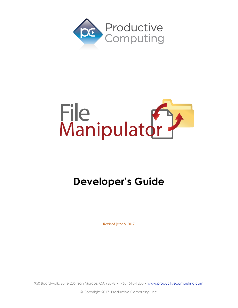



# **Developer's Guide**

Revised June 8, 2017

950 Boardwalk, Suite 205, San Marcos, CA 92078 • (760) 510-1200 • [www.productivecomputing.com](http://www.productivecomputing.com)

© Copyright 2017 Productive Computing, Inc.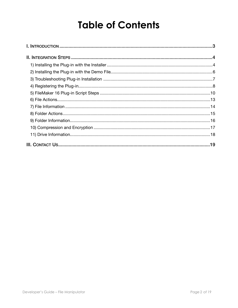# **Table of Contents**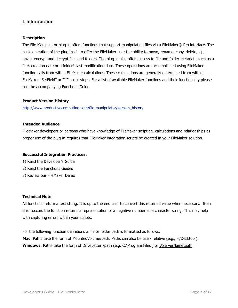# <span id="page-2-0"></span>**I. Introduction**

#### **Description**

The File Manipulator plug-in offers functions that support manipulating files via a FileMaker® Pro interface. The basic operation of the plug-ins is to offer the FileMaker user the ability to move, rename, copy, delete, zip, unzip, encrypt and decrypt files and folders. The plug-in also offers access to file and folder metadata such as a file's creation date or a folder's last modification date. These operations are accomplished using FileMaker function calls from within FileMaker calculations. These calculations are generally determined from within FileMaker "SetField" or "If" script steps. For a list of available FileMaker functions and their functionality please see the accompanying Functions Guide.

#### **Product Version History**

[http://www.productivecomputing.com/file-manipulator/version\\_history](http://www.productivecomputing.com/file-manipulator/version_history)

#### **Intended Audience**

FileMaker developers or persons who have knowledge of FileMaker scripting, calculations and relationships as proper use of the plug-in requires that FileMaker integration scripts be created in your FileMaker solution.

#### **Successful Integration Practices:**

- 1) Read the Developer's Guide
- 2) Read the Functions Guides
- 3) Review our FileMaker Demo

#### **Technical Note**

All functions return a text string. It is up to the end user to convert this returned value when necessary. If an error occurs the function returns a representation of a negative number as a character string. This may help with capturing errors within your scripts.

For the following function definitions a file or folder path is formatted as follows: **Mac**: Paths take the form of MountedVolume/path. Paths can also be user- relative (e.g., ~/Desktop) **Windows:** Paths take the form of DriveLetter:\path (e.g. C:\Program Files ) or \\ServerName\path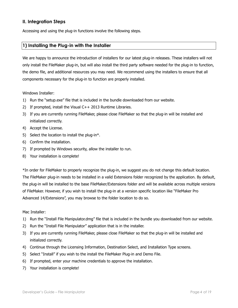# <span id="page-3-0"></span>**II. Integration Steps**

Accessing and using the plug-in functions involve the following steps.

## <span id="page-3-1"></span>**1) Installing the Plug-in with the Installer**

We are happy to announce the introduction of installers for our latest plug-in releases. These installers will not only install the FileMaker plug-in, but will also install the third party software needed for the plug-in to function, the demo file, and additional resources you may need. We recommend using the installers to ensure that all components necessary for the plug-in to function are properly installed.

Windows Installer:

- 1) Run the "setup.exe" file that is included in the bundle downloaded from our website.
- 2) If prompted, install the Visual C++ 2013 Runtime Libraries.
- 3) If you are currently running FileMaker, please close FileMaker so that the plug-in will be installed and initialized correctly.
- 4) Accept the License.
- 5) Select the location to install the plug-in\*.
- 6) Confirm the installation.
- 7) If prompted by Windows security, allow the installer to run.
- 8) Your installation is complete!

\*In order for FileMaker to properly recognize the plug-in, we suggest you do not change this default location. The FileMaker plug-in needs to be installed in a valid Extensions folder recognized by the application. By default, the plug-in will be installed to the base FileMaker/Extensions folder and will be available across multiple versions of FileMaker. However, if you wish to install the plug-in at a version specific location like "FileMaker Pro Advanced 14/Extensions", you may browse to the folder location to do so.

#### Mac Installer:

- 1) Run the "Install File Manipulator.dmg" file that is included in the bundle you downloaded from our website.
- 2) Run the "Install File Manipulator" application that is in the installer.
- 3) If you are currently running FileMaker, please close FileMaker so that the plug-in will be installed and initialized correctly.
- 4) Continue through the Licensing Information, Destination Select, and Installation Type screens.
- 5) Select "Install" if you wish to the install the FileMaker Plug-in and Demo File.
- 6) If prompted, enter your machine credentials to approve the installation.
- 7) Your installation is complete!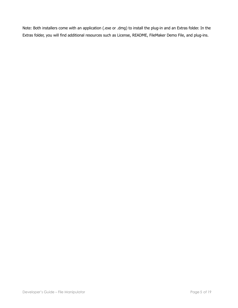Note: Both installers come with an application (.exe or .dmg) to install the plug-in and an Extras folder. In the Extras folder, you will find additional resources such as License, README, FileMaker Demo File, and plug-ins.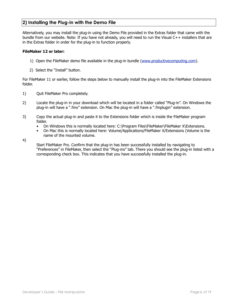# <span id="page-5-0"></span>**2) Installing the Plug-in with the Demo File**

Alternatively, you may install the plug-in using the Demo File provided in the Extras folder that came with the bundle from our website. Note: If you have not already, you will need to run the Visual C++ installers that are in the Extras folder in order for the plug-in to function properly.

#### **FileMaker 12 or later:**

- 1) Open the FileMaker demo file available in the plug-in bundle [\(www.productivecomputing.com](http://www.productivecomputing.com)).
- 2) Select the "Install" button.

For FileMaker 11 or earlier, follow the steps below to manually install the plug-in into the FileMaker Extensions folder.

- 1) Quit FileMaker Pro completely.
- 2) Locate the plug-in in your download which will be located in a folder called "Plug-in". On Windows the plug-in will have a ".fmx" extension. On Mac the plug-in will have a ".fmplugin" extension.
- 3) Copy the actual plug-in and paste it to the Extensions folder which is inside the FileMaker program folder.
	- On Windows this is normally located here: C:\Program Files\FileMaker\FileMaker X\Extensions.
	- On Mac this is normally located here: Volume/Applications/FileMaker X/Extensions (Volume is the name of the mounted volume.

4)

Start FileMaker Pro. Confirm that the plug-in has been successfully installed by navigating to "Preferences" in FileMaker, then select the "Plug-ins" tab. There you should see the plug-in listed with a corresponding check box. This indicates that you have successfully installed the plug-in.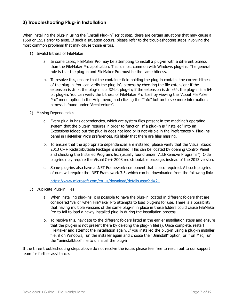## <span id="page-6-0"></span>**3) Troubleshooting Plug-in Installation**

When installing the plug-in using the "Install Plug-in" script step, there are certain situations that may cause a 1550 or 1551 error to arise. If such a situation occurs, please refer to the troubleshooting steps involving the most common problems that may cause those errors.

- 1) Invalid Bitness of FileMaker
	- a. In some cases, FileMaker Pro may be attempting to install a plug-in with a different bitness than the FileMaker Pro application. This is most common with Windows plug-ins. The general rule is that the plug-in and FileMaker Pro must be the same bitness.
	- b. To resolve this, ensure that the container field holding the plug-in contains the correct bitness of the plug-in. You can verify the plug-in's bitness by checking the file extension: if the extension is .fmx, the plug-in is a 32-bit plug-in; if the extension is .fmx64, the plug-in is a 64 bit plug-in. You can verify the bitness of FileMaker Pro itself by viewing the "About FileMaker Pro" menu option in the Help menu, and clicking the "Info" button to see more information; bitness is found under "Architecture".
- 2) Missing Dependencies
	- a. Every plug-in has dependencies, which are system files present in the machine's operating system that the plug-in requires in order to function. If a plug-in is "installed" into an Extensions folder, but the plug-in does not load or is not visible in the Preferences > Plug-ins panel in FileMaker Pro's preferences, it's likely that there are files missing.
	- b. To ensure that the appropriate dependencies are installed, please verify that the Visual Studio 2013 C++ Redistributable Package is installed. This can be located by opening Control Panel and checking the Installed Programs list (usually found under "Add/Remove Programs"). Older plug-ins may require the Visual C++ 2008 redistributable package, instead of the 2013 version.
	- c. Some plug-ins also have a .NET Framework component that is also required. All such plug-ins of ours will require the .NET Framework 3.5, which can be downloaded from the following link:

<https://www.microsoft.com/en-us/download/details.aspx?id=21>

- 3) Duplicate Plug-in Files
	- a. When installing plug-ins, it is possible to have the plug-in located in different folders that are considered "valid" when FileMaker Pro attempts to load plug-ins for use. There is a possibility that having multiple versions of the same plug-in in place in these folders could cause FileMaker Pro to fail to load a newly-installed plug-in during the installation process.
	- b. To resolve this, navigate to the different folders listed in the earlier installation steps and ensure that the plug-in is not present there by deleting the plug-in file(s). Once complete, restart FileMaker and attempt the installation again. If you installed the plug-in using a plug-in installer file, if on Windows, run the installer again and choose the "Uninstall" option, or if on Mac, run the "uninstall.tool" file to uninstall the plug-in.

If the three troubleshooting steps above do not resolve the issue, please feel free to reach out to our support team for further assistance.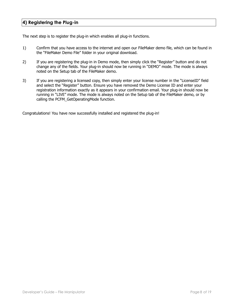# <span id="page-7-0"></span>**4) Registering the Plug-in**

The next step is to register the plug-in which enables all plug-in functions.

- 1) Confirm that you have access to the internet and open our FileMaker demo file, which can be found in the "FileMaker Demo File" folder in your original download.
- 2) If you are registering the plug-in in Demo mode, then simply click the "Register" button and do not change any of the fields. Your plug-in should now be running in "DEMO" mode. The mode is always noted on the Setup tab of the FileMaker demo.
- 3) If you are registering a licensed copy, then simply enter your license number in the "LicenseID" field and select the "Register" button. Ensure you have removed the Demo License ID and enter your registration information exactly as it appears in your confirmation email. Your plug-in should now be running in "LIVE" mode. The mode is always noted on the Setup tab of the FileMaker demo, or by calling the PCFM\_GetOperatingMode function.

Congratulations! You have now successfully installed and registered the plug-in!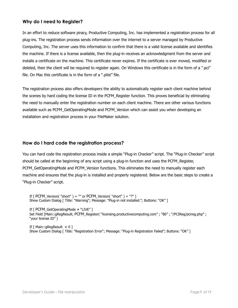# **Why do I need to Register?**

In an effort to reduce software piracy, Productive Computing, Inc. has implemented a registration process for all plug-ins. The registration process sends information over the internet to a server managed by Productive Computing, Inc. The server uses this information to confirm that there is a valid license available and identifies the machine. If there is a license available, then the plug-in receives an acknowledgment from the server and installs a certificate on the machine. This certificate never expires. If the certificate is ever moved, modified or deleted, then the client will be required to register again. On Windows this certificate is in the form of a ".pci" file. On Mac this certificate is in the form of a ".plist" file.

The registration process also offers developers the ability to automatically register each client machine behind the scenes by hard coding the license ID in the PCFM\_Register function. This proves beneficial by eliminating the need to manually enter the registration number on each client machine. There are other various functions available such as PCFM\_GetOperatingMode and PCFM\_Version which can assist you when developing an installation and registration process in your FileMaker solution.

### **How do I hard code the registration process?**

You can hard code the registration process inside a simple "Plug-in Checker" script. The "Plug-in Checker" script should be called at the beginning of any script using a plug-in function and uses the PCFM\_Register, PCFM\_GetOperatingMode and PCFM\_Version functions. This eliminates the need to manually register each machine and ensures that the plug-in is installed and properly registered. Below are the basic steps to create a "Plug-in Checker" script.

If  $\Gamma$  PCFM Version( "short" ) = "" or PCFM Version( "short" ) = "?" ] Show Custom Dialog [ Title: "Warning"; Message: "Plug-in not installed."; Buttons: "OK" ]

If [ PCFM\_GetOperatingMode ≠ "LIVE" ] Set Field [Main::gRegResult; PCFM\_Register( "licensing.productivecomputing.com" ; "80" ; "/PCIReg/pcireg.php" ; "your license ID" )

If  $[$  Main::gRegResult  $\neq 0$ ] Show Custom Dialog [ Title: "Registration Error"; Message: "Plug-in Registration Failed"; Buttons: "OK" ]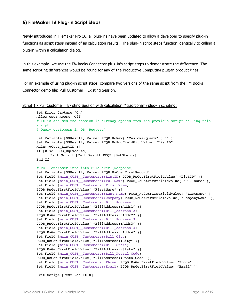#### <span id="page-9-0"></span>**5) FileMaker 16 Plug-in Script Steps**

Newly introduced in FileMaker Pro 16, all plug-ins have been updated to allow a developer to specify plug-in functions as script steps instead of as calculation results. The plug-in script steps function identically to calling a plug-in within a calculation dialog.

In this example, we use the FM Books Connector plug-in's script steps to demonstrate the difference. The same scripting differences would be found for any of the Productive Computing plug-in product lines.

For an example of using plug-in script steps, compare two versions of the same script from the FM Books Connector demo file: Pull Customer\_\_Existing Session.

```
Script 1 - Pull Customer__Existing Session with calculation ("traditional") plug-in scripting:
```

```
Set Error Capture [On]
Allow User Abort [Off]
# It is assumed the session is already opened from the previous script calling this 
script.
# Query customers in QB (Request)
Set Variable [$$Result; Value: PCQB RqNew( "CustomerQuery" ; "" )]
Set Variable [$$Result; Value: PCQB_RqAddFieldWithValue( "ListID" ; 
Main::gCust_ListID )]
If [0 \leq PCOB RqExecute]
      Exit Script [Text Result:PCQB_SGetStatus]
End If
# Pull customer info into FileMaker (Response)
Set Variable [$$Result; Value: PCQB RsOpenFirstRecord]
Set Field [main_CUST__Customers::ListID; PCQB_RsGetFirstFieldValue( "ListID" )]
Set Field [main_CUST__Customers::FullName; PCQB_RsGetFirstFieldValue( "FullName" )]
Set Field [main_CUST__Customers::First Name; 
PCQB RsGetFirstFieldValue( "FirstName" )]
Set Field [main CUST Customers::Last Name; PCQB RsGetFirstFieldValue( "LastName" )]
Set Field [main CUST Customers::Company; PCQB RsGetFirstFieldValue( "CompanyName" )]
Set Field [main CUST Customers::Bill Address 1;
PCQB RsGetFirstFieldValue( "BillAddress::Addr1" )]
Set Field [main_CUST__Customers::Bill_Address 2;
PCQB RsGetFirstFieldValue( "BillAddress::Addr2" )]
Set Field [main CUST Customers::Bill Address 3;
PCQB RsGetFirstFieldValue( "BillAddress::Addr3" )]
Set Field [main CUST Customers::Bill Address 4;
PCQB RsGetFirstFieldValue( "BillAddress::Addr4" )]
Set Field [main_CUST__Customers::Bill_City; 
PCQB RsGetFirstFieldValue( "BillAddress::City" )]
Set Field [main CUST Customers::Bill State;
PCQB RsGetFirstFieldValue( "BillAddress::State" )]
Set Field [main CUST | Customers::Bill Postal Code;
PCQB RsGetFirstFieldValue( "BillAddress::PostalCode" )]
Set Field [main_CUST__Customers::Phone; PCQB_RsGetFirstFieldValue( "Phone" )] 
Set Field [main CUST Customers::Email; PCQB RsGetFirstFieldValue( "Email" )]
```
Exit Script [Text Result:0]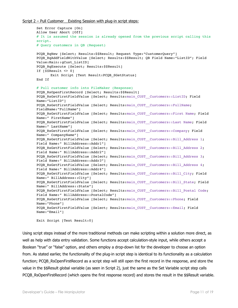#### Script 2 – Pull Customer Existing Session with plug-in script steps:

```
Set Error Capture [On]
Allow User Abort [Off]
# It is assumed the session is already opened from the previous script calling this 
script.
# Query customers in QB (Request)
PCQB RqNew [Select; Results:$$Result; Request Type:"CustomerQuery"]
PCQB_RqAddFieldWithValue [Select; Results:$$Result; QB Field Name:"ListID"; Field 
Value:Main::gCust_ListID]
PCQB RqExecute [Select; Results: $$Result]
If [$$Result <> 0]
      Exit Script [Text Result: PCQB SGetStatus]
End If
# Pull customer info into FileMaker (Response)
PCQB RsOpenFirstRecord [Select; Results:$$Result]
PCQB_RsGetFirstFieldValue [Select; Results:main_CUST__Customers::ListID; Field 
Name:"ListID"] 
PCQB RsGetFirstFieldValue [Select; Results:main CUST_Customers::FullName;
FieldName:"FullName"]
PCQB RsGetFirstFieldValue [Select; Results:main CUST__Customers::First Name; Field
Name:" FirstName"]
PCQB_RsGetFirstFieldValue [Select; Results:main_CUST__Customers::Last Name; Field 
Name:" LastName"]
PCQB RsGetFirstFieldValue [Select; Results:main CUST_Customers::Company; Field
Name:" CompanyName"]
PCQB RsGetFirstFieldValue [Select; Results:main CUST_Customers::Bill Address 1;
Field Name:" BillAddress::Addr1"]
PCQB_RsGetFirstFieldValue [Select; Results:main_CUST__Customers::Bill_Address 2; 
Field Name:" BillAddress::Addr2"]
PCQB RsGetFirstFieldValue [Select; Results:main CUST_Customers::Bill Address 3;
Field Name:" BillAddress::Addr3"]
PCQB RsGetFirstFieldValue [Select; Results:main CUST_Customers::Bill Address 4;
Field Name:" BillAddress::Addr4"]
PCQB_RsGetFirstFieldValue [Select; Results:main_CUST__Customers::Bill_City; Field 
Name:" BillAddress::City"]
PCQB RsGetFirstFieldValue [Select; Results:main CUST__Customers::Bill_State; Field
Name:" BillAddress::State"]
PCQB RsGetFirstFieldValue [Select; Results:main CUST__Customers::Bill_Postal Code;
Field Name:" BillAddress::PostalCode"]
PCQB_RsGetFirstFieldValue [Select; Results:main_CUST__Customers::Phone; Field 
Name:"Phone"]
PCQB RsGetFirstFieldValue [Select; Results:main CUST__Customers::Email; Field
Name:"Email"]
Exit Script [Text Result:0]
```
Using script steps instead of the more traditional methods can make scripting within a solution more direct, as well as help with data entry validation. Some functions accept calculation-style input, while others accept a Boolean "true" or "false" option, and others employ a drop-down list for the developer to choose an option from. As stated earlier, the functionality of the plug-in script step is identical to its functionality as a calculation function; PCQB\_RsOpenFirstRecord as a script step will still open the first record in the response, and store the value in the \$\$Result global variable (as seen in Script 2), just the same as the Set Variable script step calls PCQB\_RsOpenFirstRecord (which opens the first response record) and stores the result in the \$\$Result variable.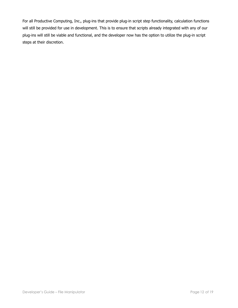For all Productive Computing, Inc., plug-ins that provide plug-in script step functionality, calculation functions will still be provided for use in development. This is to ensure that scripts already integrated with any of our plug-ins will still be viable and functional, and the developer now has the option to utilize the plug-in script steps at their discretion.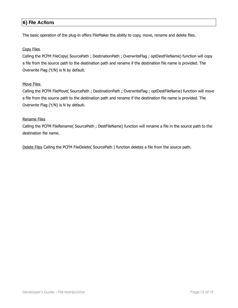# <span id="page-12-0"></span>**6) File Actions**

The basic operation of the plug-in offers FileMaker the ability to copy, move, rename and delete files.

#### Copy Files

Calling the PCFM FileCopy( SourcePath ; DestinationPath ; OverwriteFlag ; optDestFileName) function will copy a file from the source path to the destination path and rename if the destination file name is provided. The Overwrite Flag (Y/N) is N by default.

#### Move Files

Calling the PCFM FileMove( SourcePath ; DestinationPath ; OverwriteFlag ; optDestFileName) function will move a file from the source path to the destination path and rename if the destination file name is provided. The Overwrite Flag (Y/N) is N by default.

#### Rename Files

Calling the PCFM FileRename( SourcePath ; DestFileName) function will rename a file in the source path to the destination file name.

Delete Files Calling the PCFM FileDelete( SourcePath ) function deletes a file from the source path.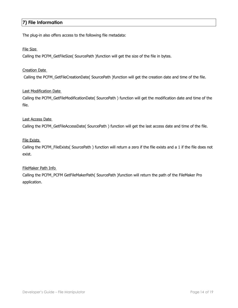# <span id="page-13-0"></span>**7) File Information**

The plug-in also offers access to the following file metadata:

#### File Size

Calling the PCFM\_GetFileSize( SourcePath )function will get the size of the file in bytes.

#### Creation Date

Calling the PCFM\_GetFileCreationDate( SourcePath )function will get the creation date and time of the file.

#### Last Modification Date

Calling the PCFM\_GetFileModificationDate( SourcePath ) function will get the modification date and time of the file.

#### Last Access Date

Calling the PCFM\_GetFileAccessDate( SourcePath ) function will get the last access date and time of the file.

#### File Exists

Calling the PCFM\_FileExists( SourcePath ) function will return a zero if the file exists and a 1 if the file does not exist.

#### FileMaker Path Info

Calling the PCFM\_PCFM GetFileMakerPath( SourcePath )function will return the path of the FileMaker Pro application.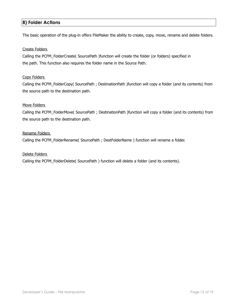# <span id="page-14-0"></span>**8) Folder Actions**

The basic operation of the plug-in offers FileMaker the ability to create, copy, move, rename and delete folders.

#### Create Folders

Calling the PCFM\_FolderCreate( SourcePath )function will create the folder (or folders) specified in the path. This function also requires the folder name in the Source Path.

#### Copy Folders

Calling the PCFM\_FolderCopy( SourcePath ; DestinationPath )function will copy a folder (and its contents) from the source path to the destination path.

#### Move Folders

Calling the PCFM\_FolderMove( SourcePath ; DestinationPath )function will copy a folder (and its contents) from the source path to the destination path.

#### Rename Folders

Calling the PCFM\_FolderRename( SourcePath ; DestFolderName ) function will rename a folder.

#### Delete Folders

Calling the PCFM\_FolderDelete( SourcePath ) function will delete a folder (and its contents).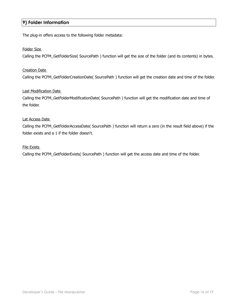# <span id="page-15-0"></span>**9) Folder Information**

The plug-in offers access to the following folder metadata:

#### Folder Size

Calling the PCFM\_GetFolderSize( SourcePath ) function will get the size of the folder (and its contents) in bytes.

#### Creation Date

Calling the PCFM\_GetFolderCreationDate( SourcePath ) function will get the creation date and time of the folder.

#### Last Modification Date

Calling the PCFM\_GetFolderModificationDate( SourcePath ) function will get the modification date and time of the folder.

#### Lat Access Date

Calling the PCFM\_GetFolderAccessDate( SourcePath ) function will return a zero (in the result field above) if the folder exists and a 1 if the folder doesn't.

#### File Exists

Calling the PCFM\_GetFolderExists( SourcePath ) function will get the access date and time of the folder.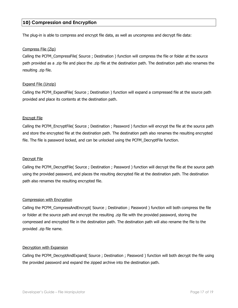## <span id="page-16-0"></span>**10) Compression and Encryption**

The plug-in is able to compress and encrypt file data, as well as uncompress and decrypt file data:

#### Compress File (Zip)

Calling the PCFM\_CompressFile( Source ; Destination ) function will compress the file or folder at the source path provided as a .zip file and place the .zip file at the destination path. The destination path also renames the resulting .zip file.

#### Expand File (Unzip)

Calling the PCFM\_ExpandFile( Source ; Destination ) function will expand a compressed file at the source path provided and place its contents at the destination path.

#### Encrypt File

Calling the PCFM\_EncryptFile( Source ; Destination ; Password ) function will encrypt the file at the source path and store the encrypted file at the destination path. The destination path also renames the resulting encrypted file. The file is password locked, and can be unlocked using the PCFM\_DecryptFile function.

#### Decrypt File

Calling the PCFM\_DecryptFile( Source ; Destination ; Password ) function will decrypt the file at the source path using the provided password, and places the resulting decrypted file at the destination path. The destination path also renames the resulting encrypted file.

#### Compression with Encryption

Calling the PCFM\_CompressAndEncrypt( Source ; Destination ; Password ) function will both compress the file or folder at the source path and encrypt the resulting .zip file with the provided password, storing the compressed and encrypted file in the destination path. The destination path will also rename the file to the provided .zip file name.

#### Decryption with Expansion

Calling the PCFM\_DecryptAndExpand( Source ; Destination ; Password ) function will both decrypt the file using the provided password and expand the zipped archive into the destination path.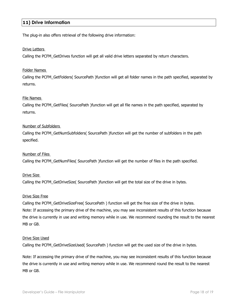# <span id="page-17-0"></span>**11) Drive Information**

The plug-in also offers retrieval of the following drive information:

#### Drive Letters

Calling the PCFM\_GetDrives function will get all valid drive letters separated by return characters.

#### Folder Names

Calling the PCFM\_GetFolders( SourcePath )function will get all folder names in the path specified, separated by returns.

#### File Names

Calling the PCFM\_GetFiles( SourcePath )function will get all file names in the path specified, separated by returns.

#### Number of Subfolders

Calling the PCFM\_GetNumSubfolders( SourcePath )function will get the number of subfolders in the path specified.

#### Number of Files

Calling the PCFM\_GetNumFiles( SourcePath )function will get the number of files in the path specified.

#### Drive Size

Calling the PCFM\_GetDriveSize( SourcePath )function will get the total size of the drive in bytes.

#### Drive Size Free

Calling the PCFM\_GetDriveSizeFree( SourcePath ) function will get the free size of the drive in bytes. Note: If accessing the primary drive of the machine, you may see inconsistent results of this function because the drive is currently in use and writing memory while in use. We recommend rounding the result to the nearest MB or GB.

#### Drive Size Used

Calling the PCFM\_GetDriveSizeUsed( SourcePath ) function will get the used size of the drive in bytes.

Note: If accessing the primary drive of the machine, you may see inconsistent results of this function because the drive is currently in use and writing memory while in use. We recommend round the result to the nearest MB or GB.